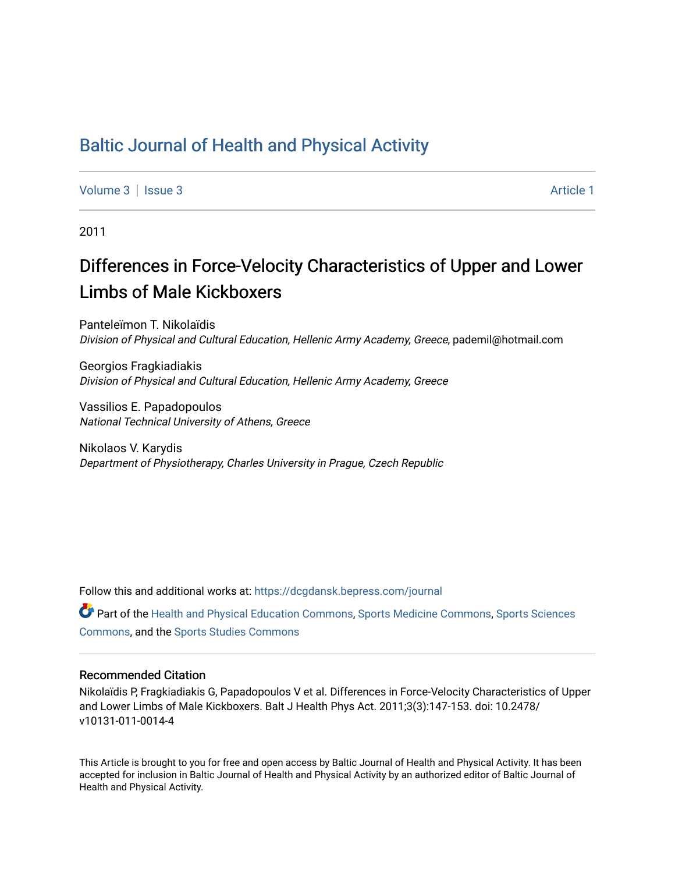## [Baltic Journal of Health and Physical Activity](https://dcgdansk.bepress.com/journal)

[Volume 3](https://dcgdansk.bepress.com/journal/vol3) | [Issue 3](https://dcgdansk.bepress.com/journal/vol3/iss3) Article 1

2011

# Differences in Force-Velocity Characteristics of Upper and Lower Limbs of Male Kickboxers

Panteleïmon T. Nikolaïdis Division of Physical and Cultural Education, Hellenic Army Academy, Greece, pademil@hotmail.com

Georgios Fragkiadiakis Division of Physical and Cultural Education, Hellenic Army Academy, Greece

Vassilios E. Papadopoulos National Technical University of Athens, Greece

Nikolaos V. Karydis Department of Physiotherapy, Charles University in Prague, Czech Republic

Follow this and additional works at: [https://dcgdansk.bepress.com/journal](https://dcgdansk.bepress.com/journal?utm_source=dcgdansk.bepress.com%2Fjournal%2Fvol3%2Fiss3%2F1&utm_medium=PDF&utm_campaign=PDFCoverPages)

Part of the [Health and Physical Education Commons](http://network.bepress.com/hgg/discipline/1327?utm_source=dcgdansk.bepress.com%2Fjournal%2Fvol3%2Fiss3%2F1&utm_medium=PDF&utm_campaign=PDFCoverPages), [Sports Medicine Commons,](http://network.bepress.com/hgg/discipline/1331?utm_source=dcgdansk.bepress.com%2Fjournal%2Fvol3%2Fiss3%2F1&utm_medium=PDF&utm_campaign=PDFCoverPages) [Sports Sciences](http://network.bepress.com/hgg/discipline/759?utm_source=dcgdansk.bepress.com%2Fjournal%2Fvol3%2Fiss3%2F1&utm_medium=PDF&utm_campaign=PDFCoverPages) [Commons](http://network.bepress.com/hgg/discipline/759?utm_source=dcgdansk.bepress.com%2Fjournal%2Fvol3%2Fiss3%2F1&utm_medium=PDF&utm_campaign=PDFCoverPages), and the [Sports Studies Commons](http://network.bepress.com/hgg/discipline/1198?utm_source=dcgdansk.bepress.com%2Fjournal%2Fvol3%2Fiss3%2F1&utm_medium=PDF&utm_campaign=PDFCoverPages) 

#### Recommended Citation

Nikolaïdis P, Fragkiadiakis G, Papadopoulos V et al. Differences in Force-Velocity Characteristics of Upper and Lower Limbs of Male Kickboxers. Balt J Health Phys Act. 2011;3(3):147-153. doi: 10.2478/ v10131-011-0014-4

This Article is brought to you for free and open access by Baltic Journal of Health and Physical Activity. It has been accepted for inclusion in Baltic Journal of Health and Physical Activity by an authorized editor of Baltic Journal of Health and Physical Activity.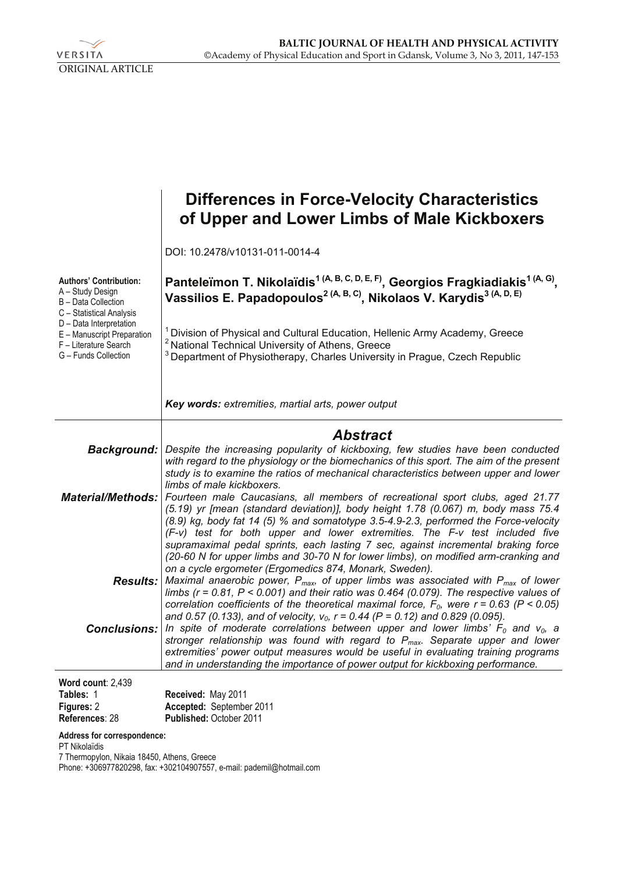

|                                                                                                        | <b>Differences in Force-Velocity Characteristics</b><br>of Upper and Lower Limbs of Male Kickboxers                                                                                                                                                                                                                                                                                                                                                                                                                   |
|--------------------------------------------------------------------------------------------------------|-----------------------------------------------------------------------------------------------------------------------------------------------------------------------------------------------------------------------------------------------------------------------------------------------------------------------------------------------------------------------------------------------------------------------------------------------------------------------------------------------------------------------|
|                                                                                                        | DOI: 10.2478/v10131-011-0014-4                                                                                                                                                                                                                                                                                                                                                                                                                                                                                        |
| <b>Authors' Contribution:</b><br>A - Study Design<br>B - Data Collection<br>C - Statistical Analysis   | Panteleïmon T. Nikolaïdis <sup>1 (A, B, C, D, E, F)</sup> , Georgios Fragkiadiakis <sup>1 (A, G)</sup> ,<br>Vassilios E. Papadopoulos <sup>2 (A, B, C)</sup> , Nikolaos V. Karydis <sup>3 (A, D, E)</sup>                                                                                                                                                                                                                                                                                                             |
| D - Data Interpretation<br>E - Manuscript Preparation<br>F - Literature Search<br>G - Funds Collection | <sup>1</sup> Division of Physical and Cultural Education, Hellenic Army Academy, Greece<br><sup>2</sup> National Technical University of Athens, Greece<br><sup>3</sup> Department of Physiotherapy, Charles University in Prague, Czech Republic                                                                                                                                                                                                                                                                     |
|                                                                                                        | Key words: extremities, martial arts, power output                                                                                                                                                                                                                                                                                                                                                                                                                                                                    |
|                                                                                                        | <b>Abstract</b>                                                                                                                                                                                                                                                                                                                                                                                                                                                                                                       |
| Background:                                                                                            | Despite the increasing popularity of kickboxing, few studies have been conducted<br>with regard to the physiology or the biomechanics of this sport. The aim of the present<br>study is to examine the ratios of mechanical characteristics between upper and lower<br>limbs of male kickboxers.                                                                                                                                                                                                                      |
| <b>Material/Methods:</b>                                                                               | Fourteen male Caucasians, all members of recreational sport clubs, aged 21.77<br>(5.19) yr [mean (standard deviation)], body height 1.78 (0.067) m, body mass 75.4<br>(8.9) kg, body fat 14 (5) % and somatotype 3.5-4.9-2.3, performed the Force-velocity<br>(F-v) test for both upper and lower extremities. The F-v test included five<br>supramaximal pedal sprints, each lasting 7 sec, against incremental braking force<br>(20-60 N for upper limbs and 30-70 N for lower limbs), on modified arm-cranking and |
| <b>Results:</b>                                                                                        | on a cycle ergometer (Ergomedics 874, Monark, Sweden).<br>Maximal anaerobic power, $P_{max}$ , of upper limbs was associated with $P_{max}$ of lower<br>limbs ( $r = 0.81$ , $P < 0.001$ ) and their ratio was 0.464 (0.079). The respective values of<br>correlation coefficients of the theoretical maximal force, $F_0$ , were $r = 0.63$ (P < 0.05)                                                                                                                                                               |
| <b>Conclusions:</b>                                                                                    | and 0.57 (0.133), and of velocity, $v_0$ , $r = 0.44$ (P = 0.12) and 0.829 (0.095).<br>In spite of moderate correlations between upper and lower limbs' $F_0$ and $v_0$ , a<br>stronger relationship was found with regard to $P_{max}$ . Separate upper and lower<br>extremities' power output measures would be useful in evaluating training programs<br>and in understanding the importance of power output for kickboxing performance.                                                                           |
| Word count: 2,439<br>Tahlae: 1                                                                         | Deceived: May 2011                                                                                                                                                                                                                                                                                                                                                                                                                                                                                                    |

| Tables: 1      | Received: May 2011             |
|----------------|--------------------------------|
| Figures: 2     | Accepted: September 2011       |
| References: 28 | <b>Published: October 2011</b> |

**Address for correspondence:** 

PT Nikolaïdis

7 Thermopylon, Nikaia 18450, Athens, Greece

Phone: +306977820298, fax: +302104907557, e-mail: pademil@hotmail.com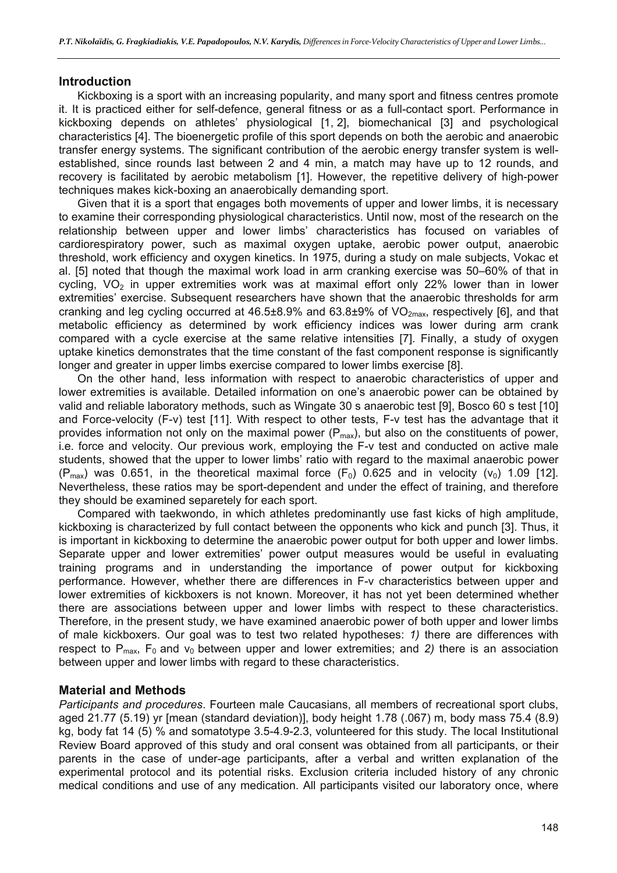## **Introduction**

Kickboxing is a sport with an increasing popularity, and many sport and fitness centres promote it. It is practiced either for self-defence, general fitness or as a full-contact sport. Performance in kickboxing depends on athletes' physiological [1, 2], biomechanical [3] and psychological characteristics [4]. The bioenergetic profile of this sport depends on both the aerobic and anaerobic transfer energy systems. The significant contribution of the aerobic energy transfer system is wellestablished, since rounds last between 2 and 4 min, a match may have up to 12 rounds, and recovery is facilitated by aerobic metabolism [1]. However, the repetitive delivery of high-power techniques makes kick-boxing an anaerobically demanding sport.

Given that it is a sport that engages both movements of upper and lower limbs, it is necessary to examine their corresponding physiological characteristics. Until now, most of the research on the relationship between upper and lower limbs' characteristics has focused on variables of cardiorespiratory power, such as maximal oxygen uptake, aerobic power output, anaerobic threshold, work efficiency and oxygen kinetics. In 1975, during a study on male subjects, Vokac et al. [5] noted that though the maximal work load in arm cranking exercise was 50–60% of that in cycling,  $VO<sub>2</sub>$  in upper extremities work was at maximal effort only 22% lower than in lower extremities' exercise. Subsequent researchers have shown that the anaerobic thresholds for arm cranking and leg cycling occurred at  $46.5\pm8.9\%$  and  $63.8\pm9\%$  of VO<sub>2max</sub>, respectively [6], and that metabolic efficiency as determined by work efficiency indices was lower during arm crank compared with a cycle exercise at the same relative intensities [7]. Finally, a study of oxygen uptake kinetics demonstrates that the time constant of the fast component response is significantly longer and greater in upper limbs exercise compared to lower limbs exercise [8].

On the other hand, less information with respect to anaerobic characteristics of upper and lower extremities is available. Detailed information on one's anaerobic power can be obtained by valid and reliable laboratory methods, such as Wingate 30 s anaerobic test [9], Bosco 60 s test [10] and Force-velocity (F-v) test [11]. With respect to other tests, F-v test has the advantage that it provides information not only on the maximal power  $(P_{max})$ , but also on the constituents of power, i.e. force and velocity. Our previous work, employing the F-v test and conducted on active male students, showed that the upper to lower limbs' ratio with regard to the maximal anaerobic power  $(P_{max})$  was 0.651, in the theoretical maximal force  $(F_0)$  0.625 and in velocity  $(V_0)$  1.09 [12]. Nevertheless, these ratios may be sport-dependent and under the effect of training, and therefore they should be examined separetely for each sport.

Compared with taekwondo, in which athletes predominantly use fast kicks of high amplitude, kickboxing is characterized by full contact between the opponents who kick and punch [3]. Thus, it is important in kickboxing to determine the anaerobic power output for both upper and lower limbs. Separate upper and lower extremities' power output measures would be useful in evaluating training programs and in understanding the importance of power output for kickboxing performance. However, whether there are differences in F-v characteristics between upper and lower extremities of kickboxers is not known. Moreover, it has not yet been determined whether there are associations between upper and lower limbs with respect to these characteristics. Therefore, in the present study, we have examined anaerobic power of both upper and lower limbs of male kickboxers. Our goal was to test two related hypotheses: *1)* there are differences with respect to  $P_{max}$ ,  $F_0$  and  $v_0$  between upper and lower extremities; and 2) there is an association between upper and lower limbs with regard to these characteristics.

## **Material and Methods**

*Participants and procedures*. Fourteen male Caucasians, all members of recreational sport clubs, aged 21.77 (5.19) yr [mean (standard deviation)], body height 1.78 (.067) m, body mass 75.4 (8.9) kg, body fat 14 (5) % and somatotype 3.5-4.9-2.3, volunteered for this study. The local Institutional Review Board approved of this study and oral consent was obtained from all participants, or their parents in the case of under-age participants, after a verbal and written explanation of the experimental protocol and its potential risks. Exclusion criteria included history of any chronic medical conditions and use of any medication. All participants visited our laboratory once, where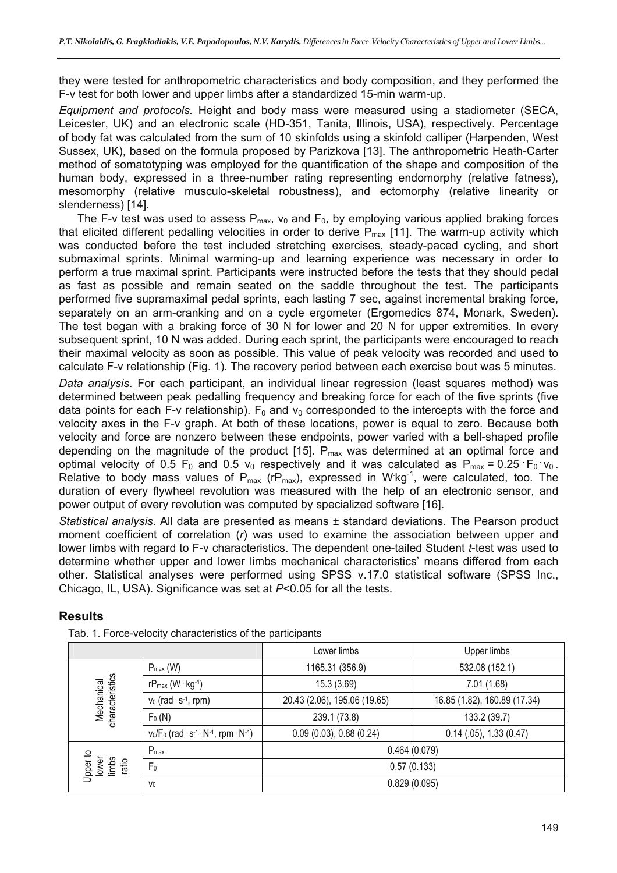they were tested for anthropometric characteristics and body composition, and they performed the F-v test for both lower and upper limbs after a standardized 15-min warm-up.

*Equipment and protocols.* Height and body mass were measured using a stadiometer (SECA, Leicester, UK) and an electronic scale (HD-351, Tanita, Illinois, USA), respectively. Percentage of body fat was calculated from the sum of 10 skinfolds using a skinfold calliper (Harpenden, West Sussex, UK), based on the formula proposed by Parizkova [13]. The anthropometric Heath-Carter method of somatotyping was employed for the quantification of the shape and composition of the human body, expressed in a three-number rating representing endomorphy (relative fatness), mesomorphy (relative musculo-skeletal robustness), and ectomorphy (relative linearity or slenderness) [14].

The F-v test was used to assess  $P_{max}$ ,  $v_0$  and  $F_0$ , by employing various applied braking forces that elicited different pedalling velocities in order to derive  $P_{max}$  [11]. The warm-up activity which was conducted before the test included stretching exercises, steady-paced cycling, and short submaximal sprints. Minimal warming-up and learning experience was necessary in order to perform a true maximal sprint. Participants were instructed before the tests that they should pedal as fast as possible and remain seated on the saddle throughout the test. The participants performed five supramaximal pedal sprints, each lasting 7 sec, against incremental braking force, separately on an arm-cranking and on a cycle ergometer (Ergomedics 874, Monark, Sweden). The test began with a braking force of 30 N for lower and 20 N for upper extremities. In every subsequent sprint, 10 N was added. During each sprint, the participants were encouraged to reach their maximal velocity as soon as possible. This value of peak velocity was recorded and used to calculate F-v relationship (Fig. 1). The recovery period between each exercise bout was 5 minutes.

*Data analysis*. For each participant, an individual linear regression (least squares method) was determined between peak pedalling frequency and breaking force for each of the five sprints (five data points for each F-v relationship).  $F_0$  and  $v_0$  corresponded to the intercepts with the force and velocity axes in the F-v graph. At both of these locations, power is equal to zero. Because both velocity and force are nonzero between these endpoints, power varied with a bell-shaped profile depending on the magnitude of the product  $[15]$ .  $P_{max}$  was determined at an optimal force and optimal velocity of 0.5  $F_0$  and 0.5  $v_0$  respectively and it was calculated as  $P_{max} = 0.25$   $F_0$   $v_0$ . Relative to body mass values of  $P_{max}$  (r $P_{max}$ ), expressed in W $kg^{-1}$ , were calculated, too. The duration of every flywheel revolution was measured with the help of an electronic sensor, and power output of every revolution was computed by specialized software [16].

*Statistical analysis*. All data are presented as means ± standard deviations. The Pearson product moment coefficient of correlation (*r*) was used to examine the association between upper and lower limbs with regard to F-v characteristics. The dependent one-tailed Student *t*-test was used to determine whether upper and lower limbs mechanical characteristics' means differed from each other. Statistical analyses were performed using SPSS v.17.0 statistical software (SPSS Inc., Chicago, IL, USA). Significance was set at *P*<0.05 for all the tests.

## **Results**

|                                     |                                                       | Lower limbs                  | Upper limbs                  |  |
|-------------------------------------|-------------------------------------------------------|------------------------------|------------------------------|--|
| Mechanical<br>characteristics       | $P_{max}$ (W)                                         | 1165.31 (356.9)              | 532.08 (152.1)               |  |
|                                     | $rP_{max}$ (W $\cdot$ kg $-1$ )                       | 15.3 (3.69)                  | 7.01(1.68)                   |  |
|                                     | $v_0$ (rad $\cdot$ s <sup>-1</sup> , rpm)             | 20.43 (2.06), 195.06 (19.65) | 16.85 (1.82), 160.89 (17.34) |  |
|                                     | $F_0(N)$                                              | 239.1 (73.8)                 | 133.2 (39.7)                 |  |
|                                     | $v_0/F_0$ (rad $s^{-1} \cdot N^{-1}$ , rpm $N^{-1}$ ) | 0.09(0.03), 0.88(0.24)       | $0.14$ (.05), 1.33 (0.47)    |  |
| Upper to<br>lower<br>limbs<br>ratio | $P_{max}$                                             | 0.464(0.079)                 |                              |  |
|                                     | F <sub>0</sub>                                        | 0.57(0.133)                  |                              |  |
|                                     | V <sub>0</sub>                                        | 0.829(0.095)                 |                              |  |

Tab. 1. Force-velocity characteristics of the participants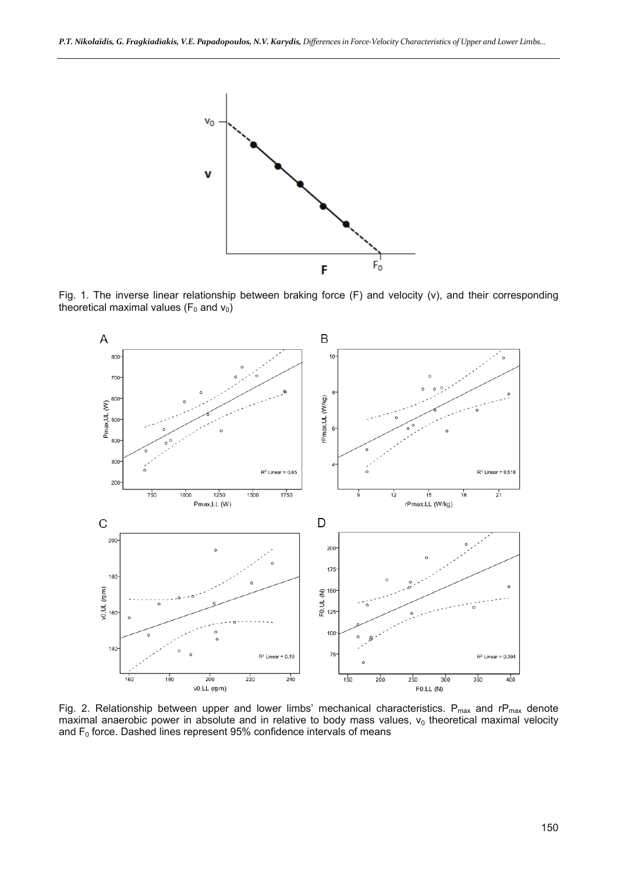

Fig. 1. The inverse linear relationship between braking force (F) and velocity (v), and their corresponding theoretical maximal values ( $F_0$  and  $v_0$ )



Fig. 2. Relationship between upper and lower limbs' mechanical characteristics.  $P_{\text{max}}$  and r $P_{\text{max}}$  denote maximal anaerobic power in absolute and in relative to body mass values,  $v_0$  theoretical maximal velocity and  $F_0$  force. Dashed lines represent 95% confidence intervals of means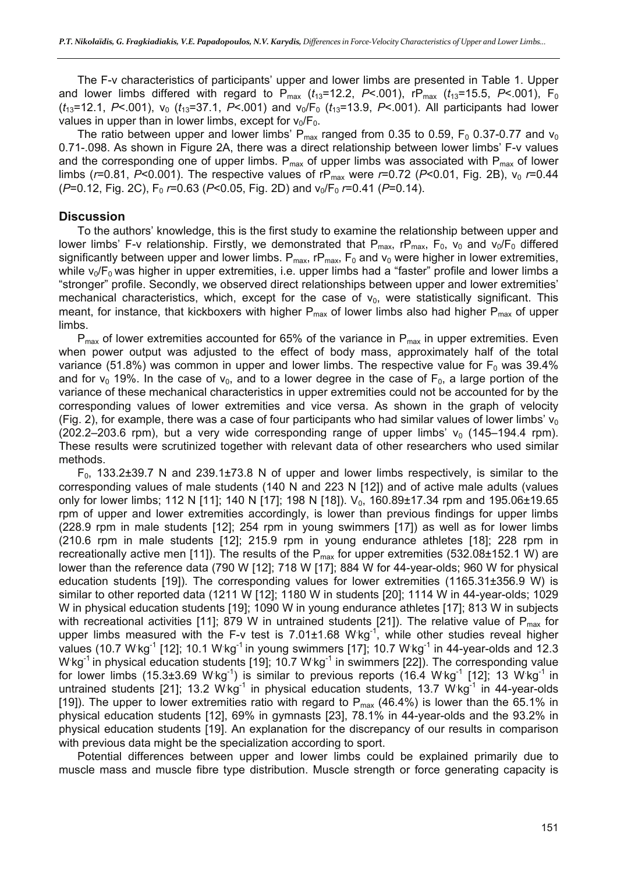The F-v characteristics of participants' upper and lower limbs are presented in Table 1. Upper and lower limbs differed with regard to  $P_{max}$  ( $t_{13}=12.2$ ,  $P<.001$ ),  $rP_{max}$  ( $t_{13}=15.5$ ,  $P<.001$ ),  $F_0$  $(t_{13}=12.1, P<.001)$ ,  $v_0$  ( $t_{13}=37.1, P<.001$ ) and  $v_0/F_0$  ( $t_{13}=13.9, P<.001$ ). All participants had lower values in upper than in lower limbs, except for  $v_0/F_0$ .

The ratio between upper and lower limbs'  $P_{max}$  ranged from 0.35 to 0.59,  $F_0$  0.37-0.77 and  $v_0$ 0.71-.098. As shown in Figure 2A, there was a direct relationship between lower limbs' F-v values and the corresponding one of upper limbs.  $P_{max}$  of upper limbs was associated with  $P_{max}$  of lower limbs ( $r=0.81$ ,  $P<0.001$ ). The respective values of  $rP_{\text{max}}$  were  $r=0.72$  ( $P<0.01$ , Fig. 2B),  $v_0$   $r=0.44$ (*P*=0.12, Fig. 2C), F<sub>0</sub> *r*=0.63 (*P*<0.05, Fig. 2D) and  $v_0$ /F<sub>0</sub> *r*=0.41 (*P*=0.14).

## **Discussion**

To the authors' knowledge, this is the first study to examine the relationship between upper and lower limbs' F-v relationship. Firstly, we demonstrated that  $P_{max}$ ,  $rP_{max}$ ,  $F_0$ ,  $v_0$  and  $v_0/F_0$  differed significantly between upper and lower limbs.  $P_{max}$ ,  $P_{max}$ ,  $F_0$  and  $v_0$  were higher in lower extremities, while  $v_0/F_0$  was higher in upper extremities, i.e. upper limbs had a "faster" profile and lower limbs a "stronger" profile. Secondly, we observed direct relationships between upper and lower extremities' mechanical characteristics, which, except for the case of  $v_0$ , were statistically significant. This meant, for instance, that kickboxers with higher  $P_{max}$  of lower limbs also had higher  $P_{max}$  of upper limbs.

 $P_{\text{max}}$  of lower extremities accounted for 65% of the variance in  $P_{\text{max}}$  in upper extremities. Even when power output was adjusted to the effect of body mass, approximately half of the total variance (51.8%) was common in upper and lower limbs. The respective value for  $F_0$  was 39.4% and for  $v_0$  19%. In the case of  $v_0$ , and to a lower degree in the case of  $F_0$ , a large portion of the variance of these mechanical characteristics in upper extremities could not be accounted for by the corresponding values of lower extremities and vice versa. As shown in the graph of velocity (Fig. 2), for example, there was a case of four participants who had similar values of lower limbs'  $v_0$ (202.2–203.6 rpm), but a very wide corresponding range of upper limbs'  $v_0$  (145–194.4 rpm). These results were scrutinized together with relevant data of other researchers who used similar methods.

 $F_0$ , 133.2±39.7 N and 239.1±73.8 N of upper and lower limbs respectively, is similar to the corresponding values of male students (140 N and 223 N [12]) and of active male adults (values only for lower limbs; 112 N [11]; 140 N [17]; 198 N [18]).  $V_0$ , 160.89±17.34 rpm and 195.06±19.65 rpm of upper and lower extremities accordingly, is lower than previous findings for upper limbs (228.9 rpm in male students [12]; 254 rpm in young swimmers [17]) as well as for lower limbs (210.6 rpm in male students [12]; 215.9 rpm in young endurance athletes [18]; 228 rpm in recreationally active men [11]). The results of the  $P_{max}$  for upper extremities (532.08±152.1 W) are lower than the reference data (790 W [12]; 718 W [17]; 884 W for 44-year-olds; 960 W for physical education students [19]). The corresponding values for lower extremities (1165.31±356.9 W) is similar to other reported data (1211 W [12]; 1180 W in students [20]; 1114 W in 44-year-olds; 1029 W in physical education students [19]; 1090 W in young endurance athletes [17]; 813 W in subjects with recreational activities [11]; 879 W in untrained students [21]). The relative value of  $P_{max}$  for upper limbs measured with the F-v test is  $7.01\pm1.68$  W kg<sup>-1</sup>, while other studies reveal higher values (10.7 W kg<sup>-1</sup> [12]; 10.1 W kg<sup>-1</sup> in young swimmers [17]; 10.7 W kg<sup>-1</sup> in 44-year-olds and 12.3 W kg<sup>-1</sup> in physical education students [19]; 10.7 W kg<sup>-1</sup> in swimmers [22]). The corresponding value for lower limbs (15.3±3.69 W·kg<sup>-1</sup>) is similar to previous reports (16.4 W·kg<sup>-1</sup> [12]; 13 W·kg<sup>-1</sup> in untrained students [21]; 13.2 W kg<sup>-1</sup> in physical education students, 13.7 W kg<sup>-1</sup> in 44-year-olds [19]). The upper to lower extremities ratio with regard to  $P_{\text{max}}$  (46.4%) is lower than the 65.1% in physical education students [12], 69% in gymnasts [23], 78.1% in 44-year-olds and the 93.2% in physical education students [19]. An explanation for the discrepancy of our results in comparison with previous data might be the specialization according to sport.

Potential differences between upper and lower limbs could be explained primarily due to muscle mass and muscle fibre type distribution. Muscle strength or force generating capacity is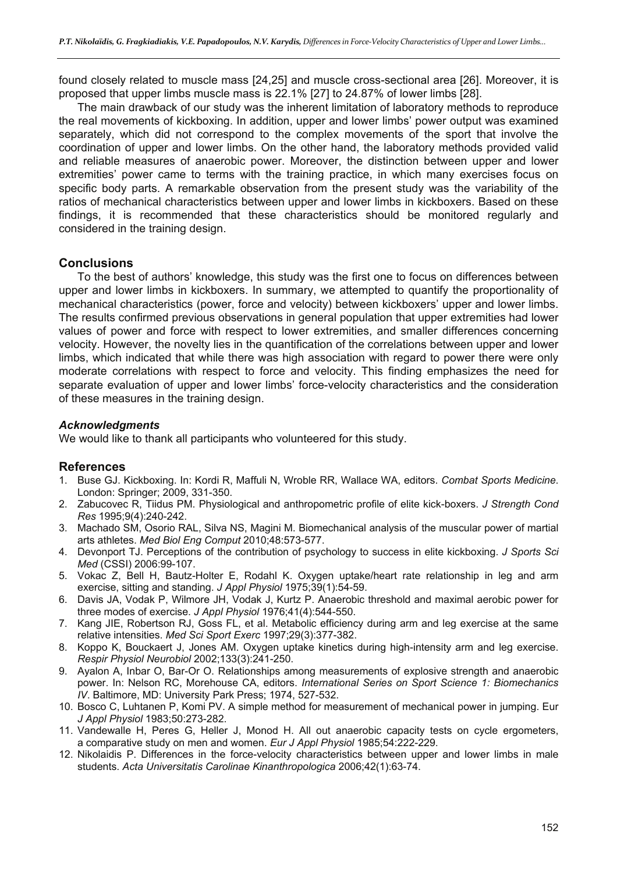found closely related to muscle mass [24,25] and muscle cross-sectional area [26]. Moreover, it is proposed that upper limbs muscle mass is 22.1% [27] to 24.87% of lower limbs [28].

The main drawback of our study was the inherent limitation of laboratory methods to reproduce the real movements of kickboxing. In addition, upper and lower limbs' power output was examined separately, which did not correspond to the complex movements of the sport that involve the coordination of upper and lower limbs. On the other hand, the laboratory methods provided valid and reliable measures of anaerobic power. Moreover, the distinction between upper and lower extremities' power came to terms with the training practice, in which many exercises focus on specific body parts. A remarkable observation from the present study was the variability of the ratios of mechanical characteristics between upper and lower limbs in kickboxers. Based on these findings, it is recommended that these characteristics should be monitored regularly and considered in the training design.

## **Conclusions**

To the best of authors' knowledge, this study was the first one to focus on differences between upper and lower limbs in kickboxers. In summary, we attempted to quantify the proportionality of mechanical characteristics (power, force and velocity) between kickboxers' upper and lower limbs. The results confirmed previous observations in general population that upper extremities had lower values of power and force with respect to lower extremities, and smaller differences concerning velocity. However, the novelty lies in the quantification of the correlations between upper and lower limbs, which indicated that while there was high association with regard to power there were only moderate correlations with respect to force and velocity. This finding emphasizes the need for separate evaluation of upper and lower limbs' force-velocity characteristics and the consideration of these measures in the training design.

## *Acknowledgments*

We would like to thank all participants who volunteered for this study.

## **References**

- 1. Buse GJ. Kickboxing. In: Kordi R, Maffuli N, Wroble RR, Wallace WA, editors. *Combat Sports Medicine*. London: Springer; 2009, 331-350.
- 2. Zabucovec R, Tiidus PM. Physiological and anthropometric profile of elite kick-boxers. *J Strength Cond Res* 1995;9(4):240-242.
- 3. Machado SM, Osorio RAL, Silva NS, Magini M. Biomechanical analysis of the muscular power of martial arts athletes. *Med Biol Eng Comput* 2010;48:573-577.
- 4. Devonport TJ. Perceptions of the contribution of psychology to success in elite kickboxing. *J Sports Sci Med* (CSSI) 2006:99-107.
- 5. Vokac Z, Bell H, Bautz-Holter E, Rodahl K. Oxygen uptake/heart rate relationship in leg and arm exercise, sitting and standing. *J Appl Physiol* 1975;39(1):54-59.
- 6. Davis JA, Vodak P, Wilmore JH, Vodak J, Kurtz P. Anaerobic threshold and maximal aerobic power for three modes of exercise. *J Appl Physiol* 1976;41(4):544-550.
- 7. Kang JIE, Robertson RJ, Goss FL, et al. Metabolic efficiency during arm and leg exercise at the same relative intensities. *Med Sci Sport Exerc* 1997;29(3):377-382.
- 8. Koppo K, Bouckaert J, Jones AM. Oxygen uptake kinetics during high-intensity arm and leg exercise. *Respir Physiol Neurobiol* 2002;133(3):241-250.
- 9. Ayalon A, Inbar O, Bar-Or O. Relationships among measurements of explosive strength and anaerobic power. In: Nelson RC, Morehouse CA, editors. *International Series on Sport Science 1: Biomechanics IV*. Baltimore, MD: University Park Press; 1974, 527-532.
- 10. Bosco C, Luhtanen P, Komi PV. A simple method for measurement of mechanical power in jumping. Eur *J Appl Physiol* 1983;50:273-282.
- 11. Vandewalle H, Peres G, Heller J, Monod H. All out anaerobic capacity tests on cycle ergometers, a comparative study on men and women. *Eur J Appl Physiol* 1985;54:222-229.
- 12. Nikolaidis P. Differences in the force-velocity characteristics between upper and lower limbs in male students. *Acta Universitatis Carolinae Kinanthropologica* 2006;42(1):63-74.